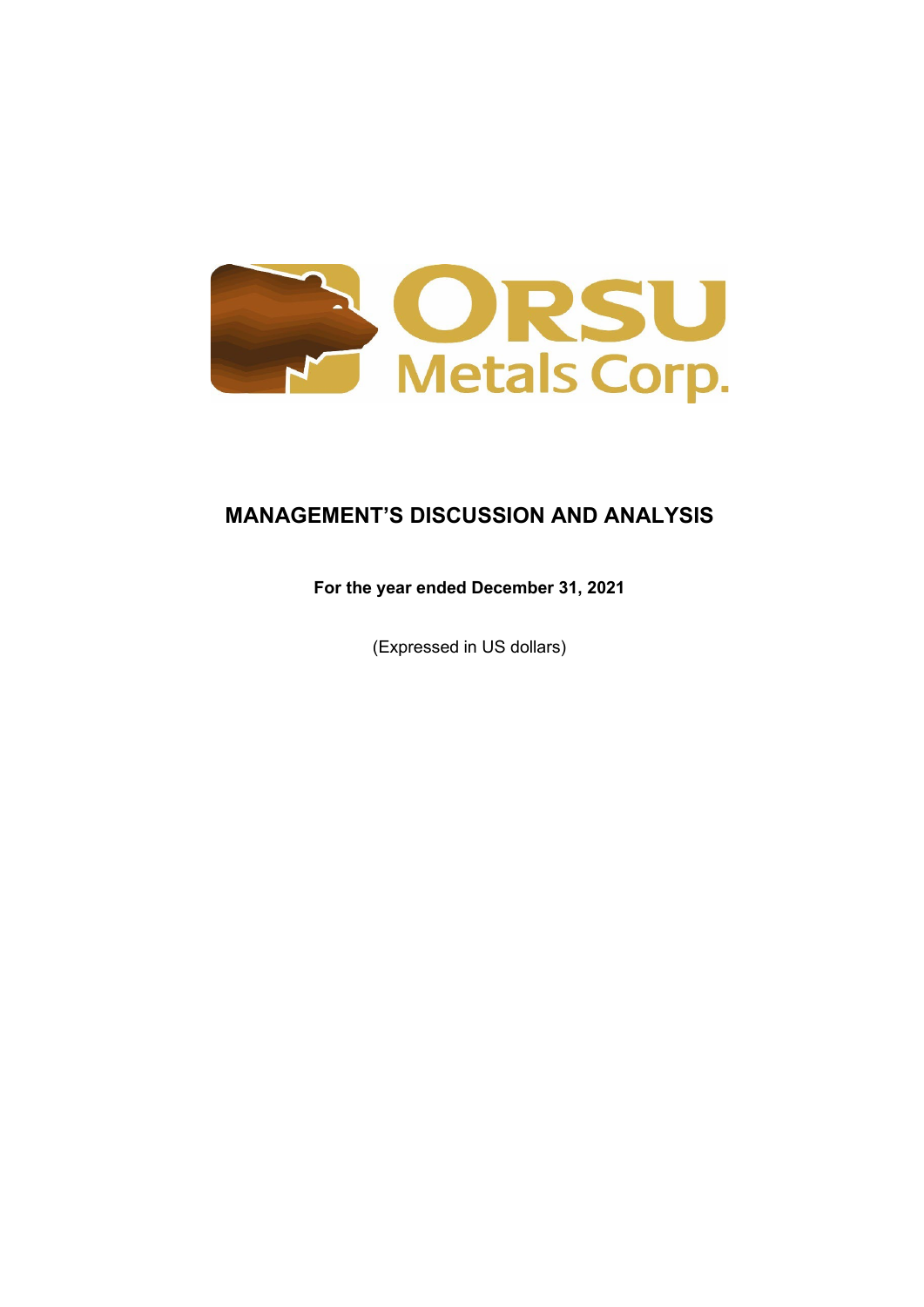

# **MANAGEMENT'S DISCUSSION AND ANALYSIS**

# **For the year ended December 31, 2021**

(Expressed in US dollars)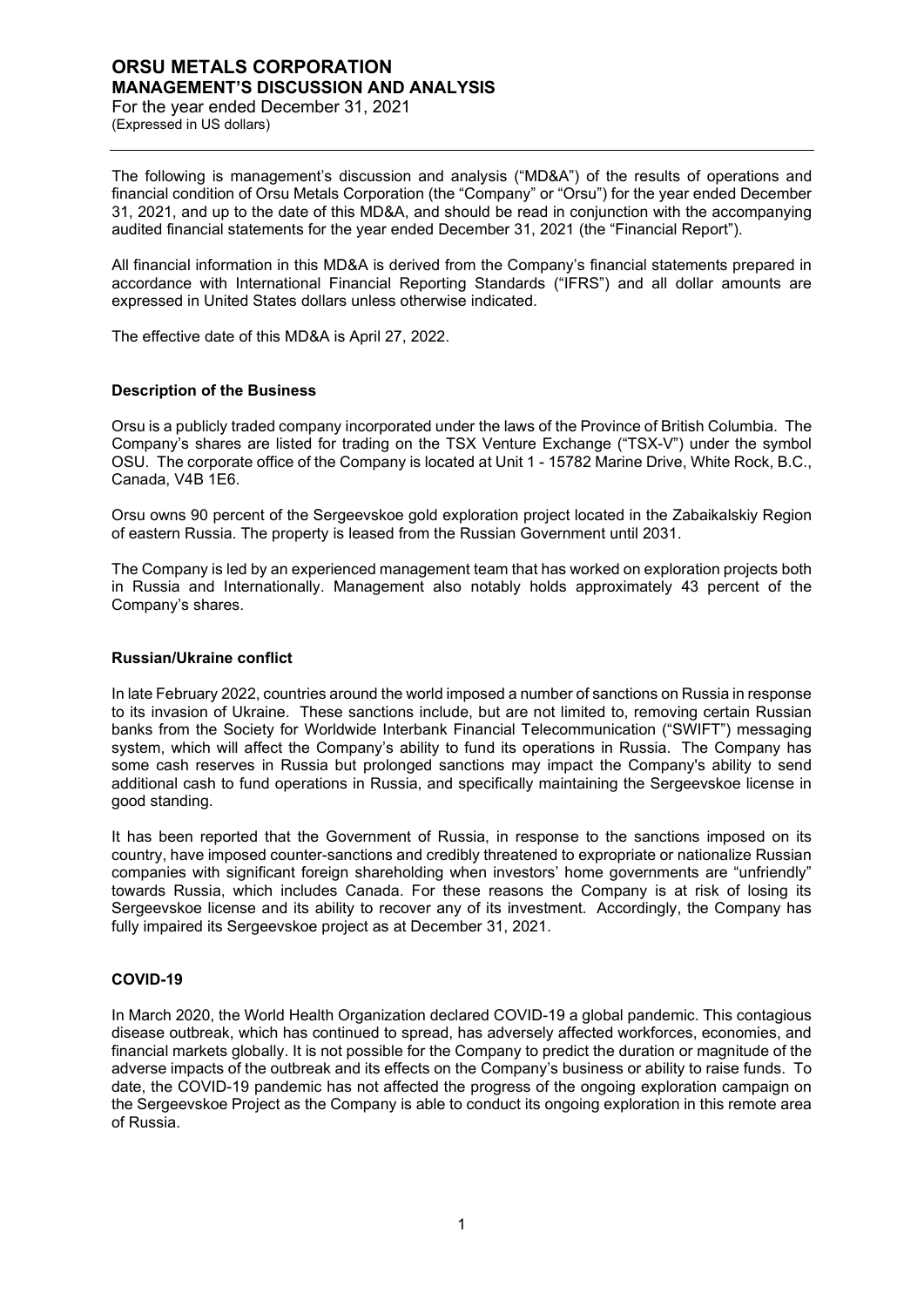## **ORSU METALS CORPORATION MANAGEMENT'S DISCUSSION AND ANALYSIS**

For the year ended December 31, 2021 (Expressed in US dollars)

The following is management's discussion and analysis ("MD&A") of the results of operations and financial condition of Orsu Metals Corporation (the "Company" or "Orsu") for the year ended December 31, 2021, and up to the date of this MD&A, and should be read in conjunction with the accompanying audited financial statements for the year ended December 31, 2021 (the "Financial Report").

All financial information in this MD&A is derived from the Company's financial statements prepared in accordance with International Financial Reporting Standards ("IFRS") and all dollar amounts are expressed in United States dollars unless otherwise indicated.

The effective date of this MD&A is April 27, 2022.

## **Description of the Business**

Orsu is a publicly traded company incorporated under the laws of the Province of British Columbia. The Company's shares are listed for trading on the TSX Venture Exchange ("TSX-V") under the symbol OSU. The corporate office of the Company is located at Unit 1 - 15782 Marine Drive, White Rock, B.C., Canada, V4B 1E6.

Orsu owns 90 percent of the Sergeevskoe gold exploration project located in the Zabaikalskiy Region of eastern Russia. The property is leased from the Russian Government until 2031.

The Company is led by an experienced management team that has worked on exploration projects both in Russia and Internationally. Management also notably holds approximately 43 percent of the Company's shares.

## **Russian/Ukraine conflict**

In late February 2022, countries around the world imposed a number of sanctions on Russia in response to its invasion of Ukraine. These sanctions include, but are not limited to, removing certain Russian banks from the Society for Worldwide Interbank Financial Telecommunication ("SWIFT") messaging system, which will affect the Company's ability to fund its operations in Russia. The Company has some cash reserves in Russia but prolonged sanctions may impact the Company's ability to send additional cash to fund operations in Russia, and specifically maintaining the Sergeevskoe license in good standing.

It has been reported that the Government of Russia, in response to the sanctions imposed on its country, have imposed counter-sanctions and credibly threatened to expropriate or nationalize Russian companies with significant foreign shareholding when investors' home governments are "unfriendly" towards Russia, which includes Canada. For these reasons the Company is at risk of losing its Sergeevskoe license and its ability to recover any of its investment. Accordingly, the Company has fully impaired its Sergeevskoe project as at December 31, 2021.

## **COVID-19**

In March 2020, the World Health Organization declared COVID-19 a global pandemic. This contagious disease outbreak, which has continued to spread, has adversely affected workforces, economies, and financial markets globally. It is not possible for the Company to predict the duration or magnitude of the adverse impacts of the outbreak and its effects on the Company's business or ability to raise funds. To date, the COVID-19 pandemic has not affected the progress of the ongoing exploration campaign on the Sergeevskoe Project as the Company is able to conduct its ongoing exploration in this remote area of Russia.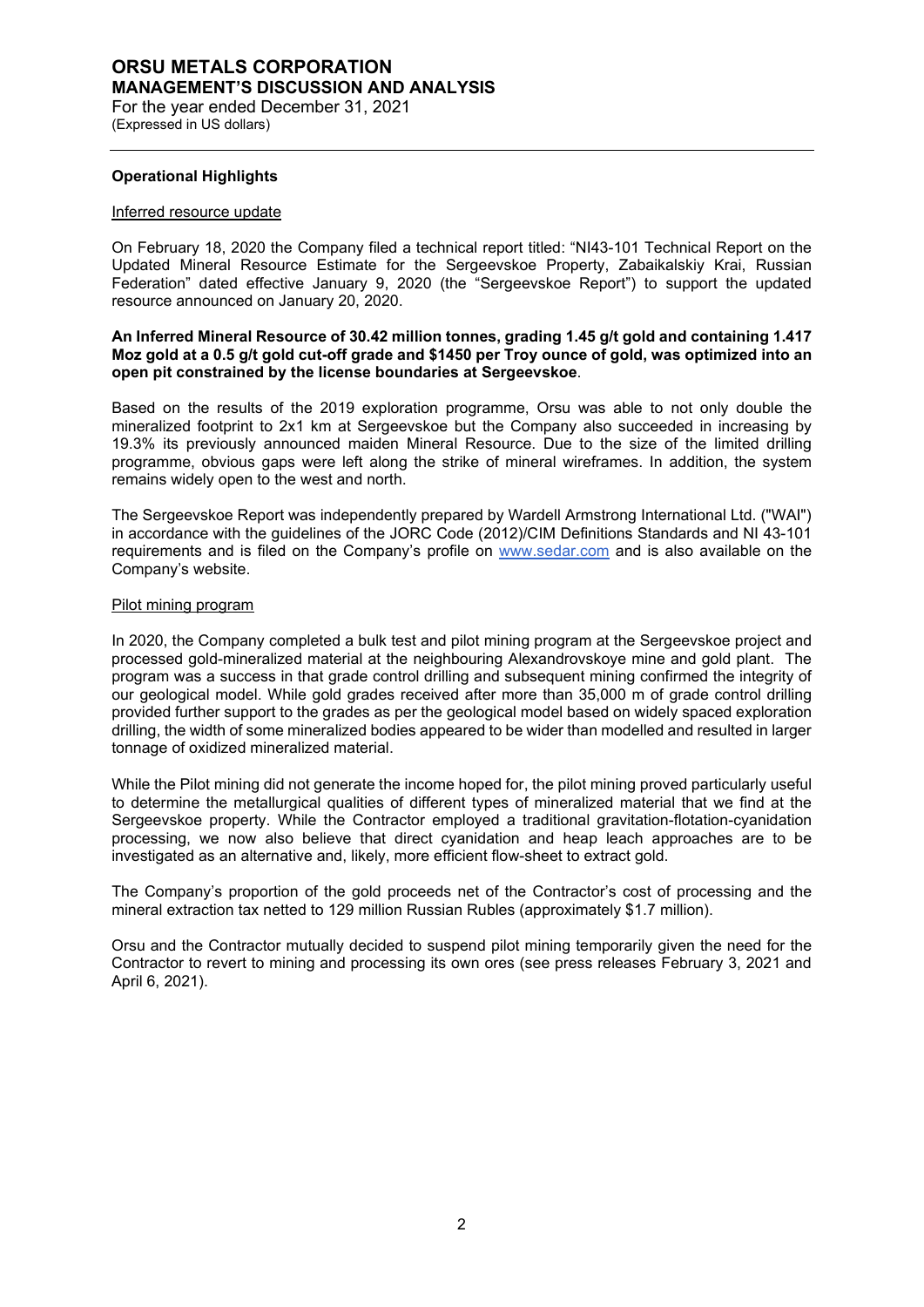(Expressed in US dollars)

#### **Operational Highlights**

#### Inferred resource update

On February 18, 2020 the Company filed a technical report titled: "NI43-101 Technical Report on the Updated Mineral Resource Estimate for the Sergeevskoe Property, Zabaikalskiy Krai, Russian Federation" dated effective January 9, 2020 (the "Sergeevskoe Report") to support the updated resource announced on January 20, 2020.

## **An Inferred Mineral Resource of 30.42 million tonnes, grading 1.45 g/t gold and containing 1.417 Moz gold at a 0.5 g/t gold cut-off grade and \$1450 per Troy ounce of gold, was optimized into an open pit constrained by the license boundaries at Sergeevskoe**.

Based on the results of the 2019 exploration programme, Orsu was able to not only double the mineralized footprint to 2x1 km at Sergeevskoe but the Company also succeeded in increasing by 19.3% its previously announced maiden Mineral Resource. Due to the size of the limited drilling programme, obvious gaps were left along the strike of mineral wireframes. In addition, the system remains widely open to the west and north.

The Sergeevskoe Report was independently prepared by Wardell Armstrong International Ltd. ("WAI") in accordance with the guidelines of the JORC Code (2012)/CIM Definitions Standards and NI 43-101 requirements and is filed on the Company's profile on [www.sedar.com](http://www.sedar.com/) and is also available on the Company's website.

#### Pilot mining program

In 2020, the Company completed a bulk test and pilot mining program at the Sergeevskoe project and processed gold-mineralized material at the neighbouring Alexandrovskoye mine and gold plant. The program was a success in that grade control drilling and subsequent mining confirmed the integrity of our geological model. While gold grades received after more than 35,000 m of grade control drilling provided further support to the grades as per the geological model based on widely spaced exploration drilling, the width of some mineralized bodies appeared to be wider than modelled and resulted in larger tonnage of oxidized mineralized material.

While the Pilot mining did not generate the income hoped for, the pilot mining proved particularly useful to determine the metallurgical qualities of different types of mineralized material that we find at the Sergeevskoe property. While the Contractor employed a traditional gravitation-flotation-cyanidation processing, we now also believe that direct cyanidation and heap leach approaches are to be investigated as an alternative and, likely, more efficient flow-sheet to extract gold.

The Company's proportion of the gold proceeds net of the Contractor's cost of processing and the mineral extraction tax netted to 129 million Russian Rubles (approximately \$1.7 million).

Orsu and the Contractor mutually decided to suspend pilot mining temporarily given the need for the Contractor to revert to mining and processing its own ores (see press releases February 3, 2021 and April 6, 2021).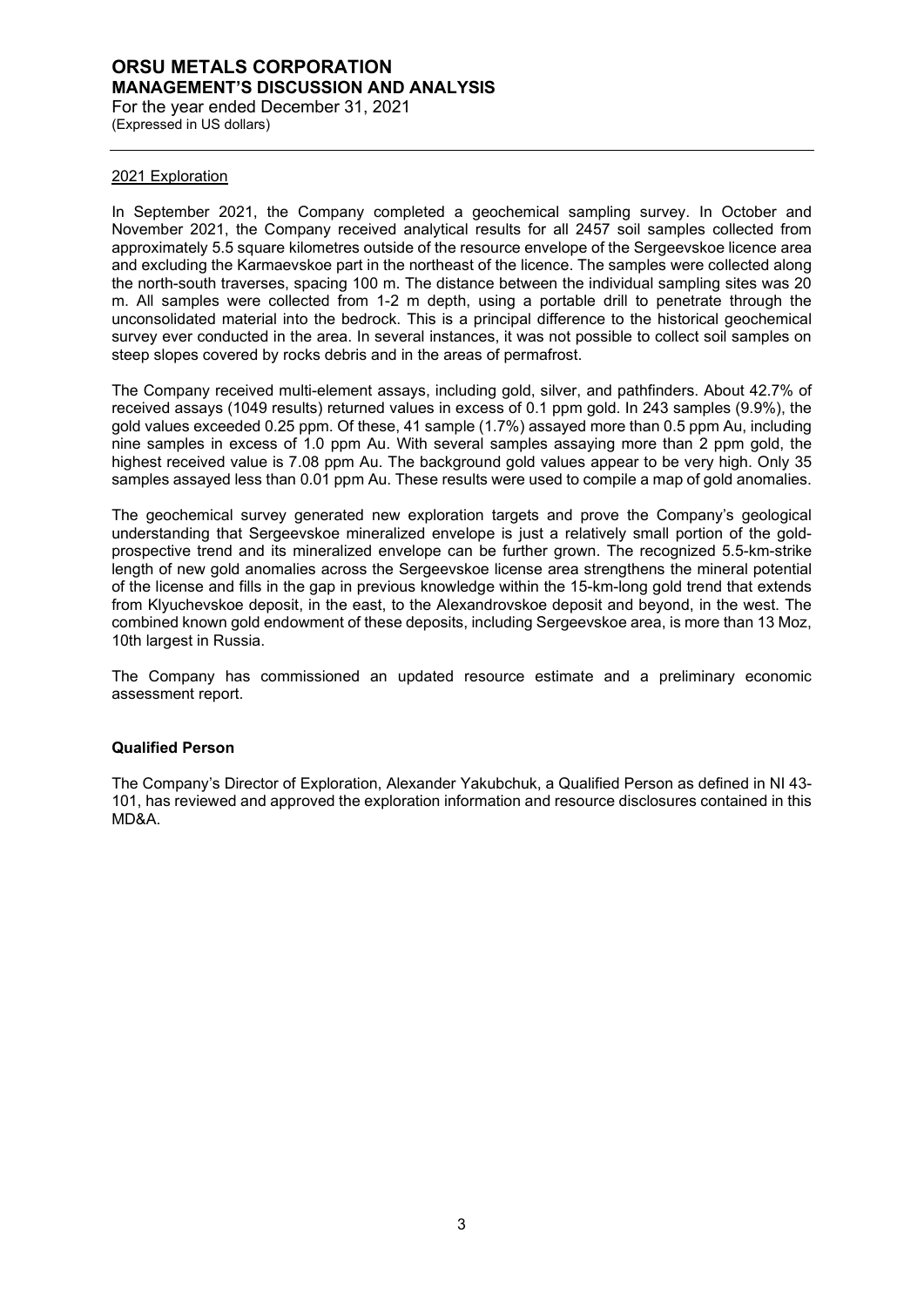## **ORSU METALS CORPORATION MANAGEMENT'S DISCUSSION AND ANALYSIS** For the year ended December 31, 2021

(Expressed in US dollars)

#### 2021 Exploration

In September 2021, the Company completed a geochemical sampling survey. In October and November 2021, the Company received analytical results for all 2457 soil samples collected from approximately 5.5 square kilometres outside of the resource envelope of the Sergeevskoe licence area and excluding the Karmaevskoe part in the northeast of the licence. The samples were collected along the north-south traverses, spacing 100 m. The distance between the individual sampling sites was 20 m. All samples were collected from 1-2 m depth, using a portable drill to penetrate through the unconsolidated material into the bedrock. This is a principal difference to the historical geochemical survey ever conducted in the area. In several instances, it was not possible to collect soil samples on steep slopes covered by rocks debris and in the areas of permafrost.

The Company received multi-element assays, including gold, silver, and pathfinders. About 42.7% of received assays (1049 results) returned values in excess of 0.1 ppm gold. In 243 samples (9.9%), the gold values exceeded 0.25 ppm. Of these, 41 sample (1.7%) assayed more than 0.5 ppm Au, including nine samples in excess of 1.0 ppm Au. With several samples assaying more than 2 ppm gold, the highest received value is 7.08 ppm Au. The background gold values appear to be very high. Only 35 samples assayed less than 0.01 ppm Au. These results were used to compile a map of gold anomalies.

The geochemical survey generated new exploration targets and prove the Company's geological understanding that Sergeevskoe mineralized envelope is just a relatively small portion of the goldprospective trend and its mineralized envelope can be further grown. The recognized 5.5-km-strike length of new gold anomalies across the Sergeevskoe license area strengthens the mineral potential of the license and fills in the gap in previous knowledge within the 15-km-long gold trend that extends from Klyuchevskoe deposit, in the east, to the Alexandrovskoe deposit and beyond, in the west. The combined known gold endowment of these deposits, including Sergeevskoe area, is more than 13 Moz, 10th largest in Russia.

The Company has commissioned an updated resource estimate and a preliminary economic assessment report.

## **Qualified Person**

The Company's Director of Exploration, Alexander Yakubchuk, a Qualified Person as defined in NI 43- 101, has reviewed and approved the exploration information and resource disclosures contained in this MD&A.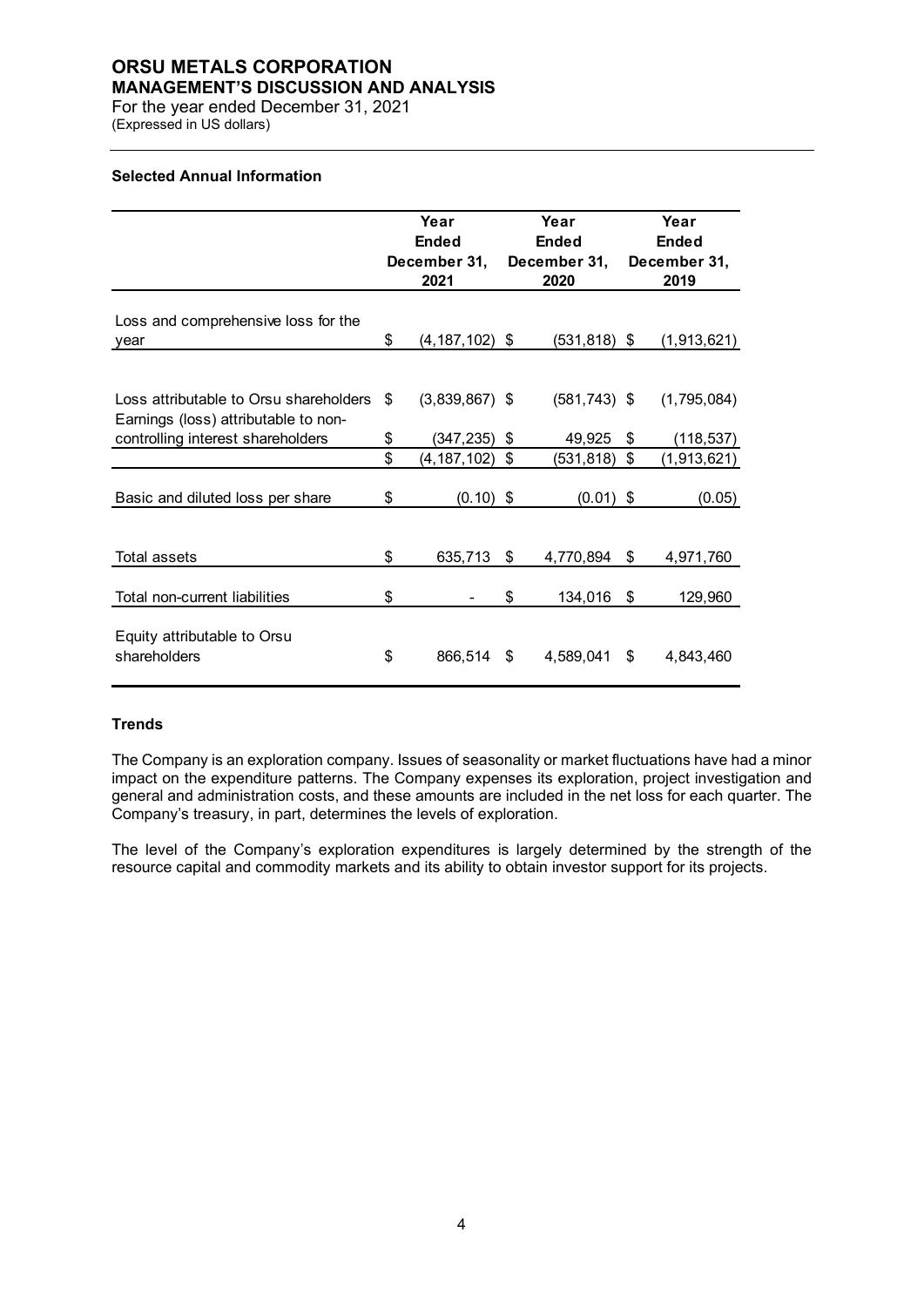# **ORSU METALS CORPORATION**

**MANAGEMENT'S DISCUSSION AND ANALYSIS**

For the year ended December 31, 2021 (Expressed in US dollars)

## **Selected Annual Information**

|                                                                                                                     | Year<br><b>Ended</b><br>December 31,<br>2021 |                               | Year<br><b>Ended</b><br>December 31,<br>2020 |                           |     | Year<br><b>Ended</b><br>December 31,<br>2019 |
|---------------------------------------------------------------------------------------------------------------------|----------------------------------------------|-------------------------------|----------------------------------------------|---------------------------|-----|----------------------------------------------|
| Loss and comprehensive loss for the<br>year                                                                         | \$                                           | $(4, 187, 102)$ \$            |                                              | $(531, 818)$ \$           |     | (1,913,621)                                  |
| Loss attributable to Orsu shareholders<br>Earnings (loss) attributable to non-<br>controlling interest shareholders | \$<br>\$                                     | $(3,839,867)$ \$<br>(347,235) | \$                                           | $(581, 743)$ \$<br>49,925 | \$  | (1,795,084)<br>(118,537)                     |
|                                                                                                                     | \$                                           | (4,187,102)                   | \$                                           | (531,818)                 | \$  | (1,913,621)                                  |
| Basic and diluted loss per share                                                                                    | \$                                           | $(0.10)$ \$                   |                                              | (0.01)                    | \$  | (0.05)                                       |
| Total assets                                                                                                        | \$                                           | 635,713                       | \$                                           | 4,770,894                 | \$  | 4,971,760                                    |
| Total non-current liabilities                                                                                       | \$                                           |                               | \$                                           | 134,016                   | \$  | 129,960                                      |
| Equity attributable to Orsu<br>shareholders                                                                         | \$                                           | 866,514                       | \$                                           | 4,589,041                 | \$. | 4,843,460                                    |

## **Trends**

The Company is an exploration company. Issues of seasonality or market fluctuations have had a minor impact on the expenditure patterns. The Company expenses its exploration, project investigation and general and administration costs, and these amounts are included in the net loss for each quarter. The Company's treasury, in part, determines the levels of exploration.

The level of the Company's exploration expenditures is largely determined by the strength of the resource capital and commodity markets and its ability to obtain investor support for its projects.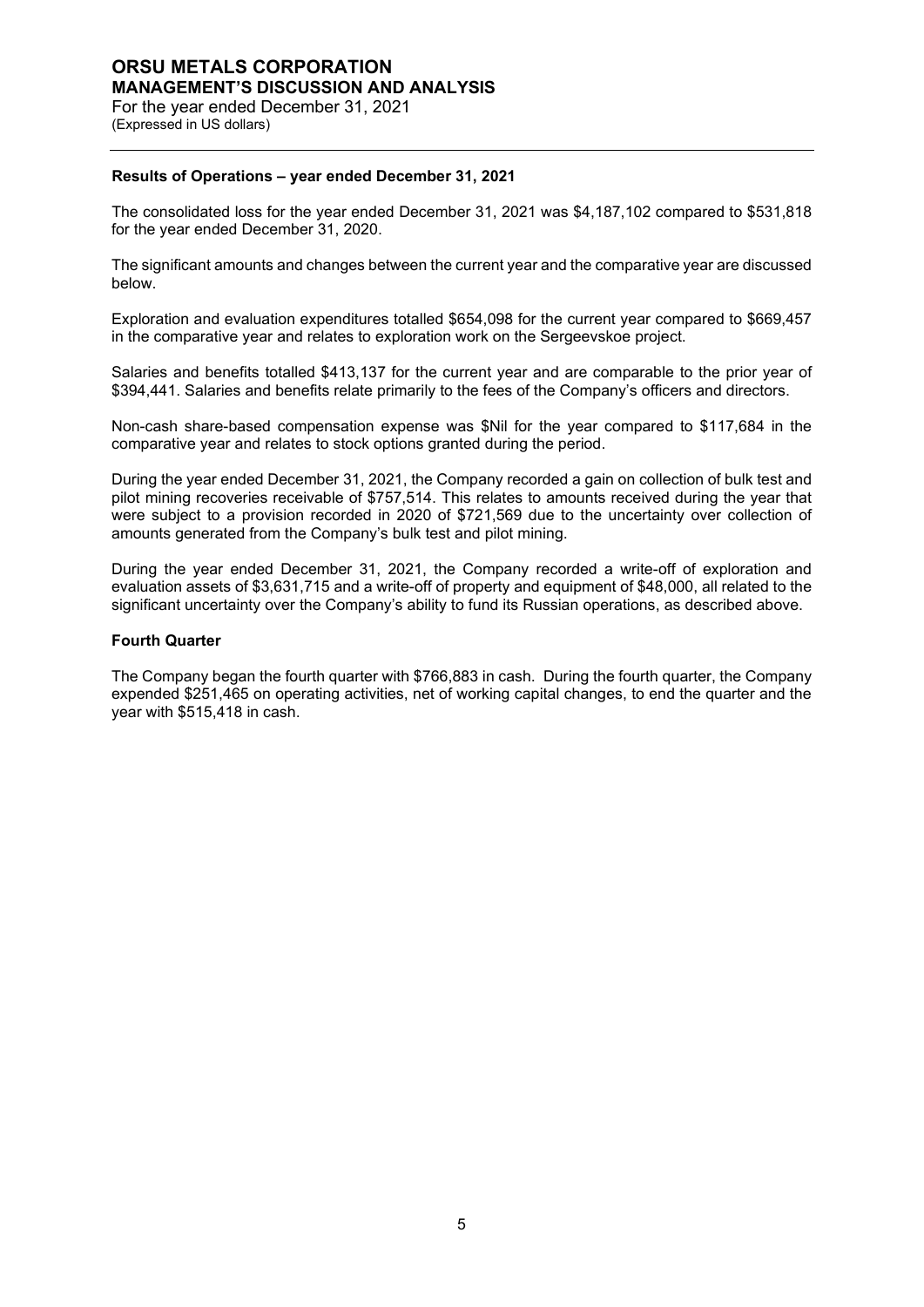## **ORSU METALS CORPORATION MANAGEMENT'S DISCUSSION AND ANALYSIS** For the year ended December 31, 2021 (Expressed in US dollars)

## **Results of Operations – year ended December 31, 2021**

The consolidated loss for the year ended December 31, 2021 was \$4,187,102 compared to \$531,818 for the year ended December 31, 2020.

The significant amounts and changes between the current year and the comparative year are discussed below.

Exploration and evaluation expenditures totalled \$654,098 for the current year compared to \$669,457 in the comparative year and relates to exploration work on the Sergeevskoe project.

Salaries and benefits totalled \$413,137 for the current year and are comparable to the prior year of \$394,441. Salaries and benefits relate primarily to the fees of the Company's officers and directors.

Non-cash share-based compensation expense was \$Nil for the year compared to \$117,684 in the comparative year and relates to stock options granted during the period.

During the year ended December 31, 2021, the Company recorded a gain on collection of bulk test and pilot mining recoveries receivable of \$757,514. This relates to amounts received during the year that were subject to a provision recorded in 2020 of \$721,569 due to the uncertainty over collection of amounts generated from the Company's bulk test and pilot mining.

During the year ended December 31, 2021, the Company recorded a write-off of exploration and evaluation assets of \$3,631,715 and a write-off of property and equipment of \$48,000, all related to the significant uncertainty over the Company's ability to fund its Russian operations, as described above.

#### **Fourth Quarter**

The Company began the fourth quarter with \$766,883 in cash. During the fourth quarter, the Company expended \$251,465 on operating activities, net of working capital changes, to end the quarter and the year with \$515,418 in cash.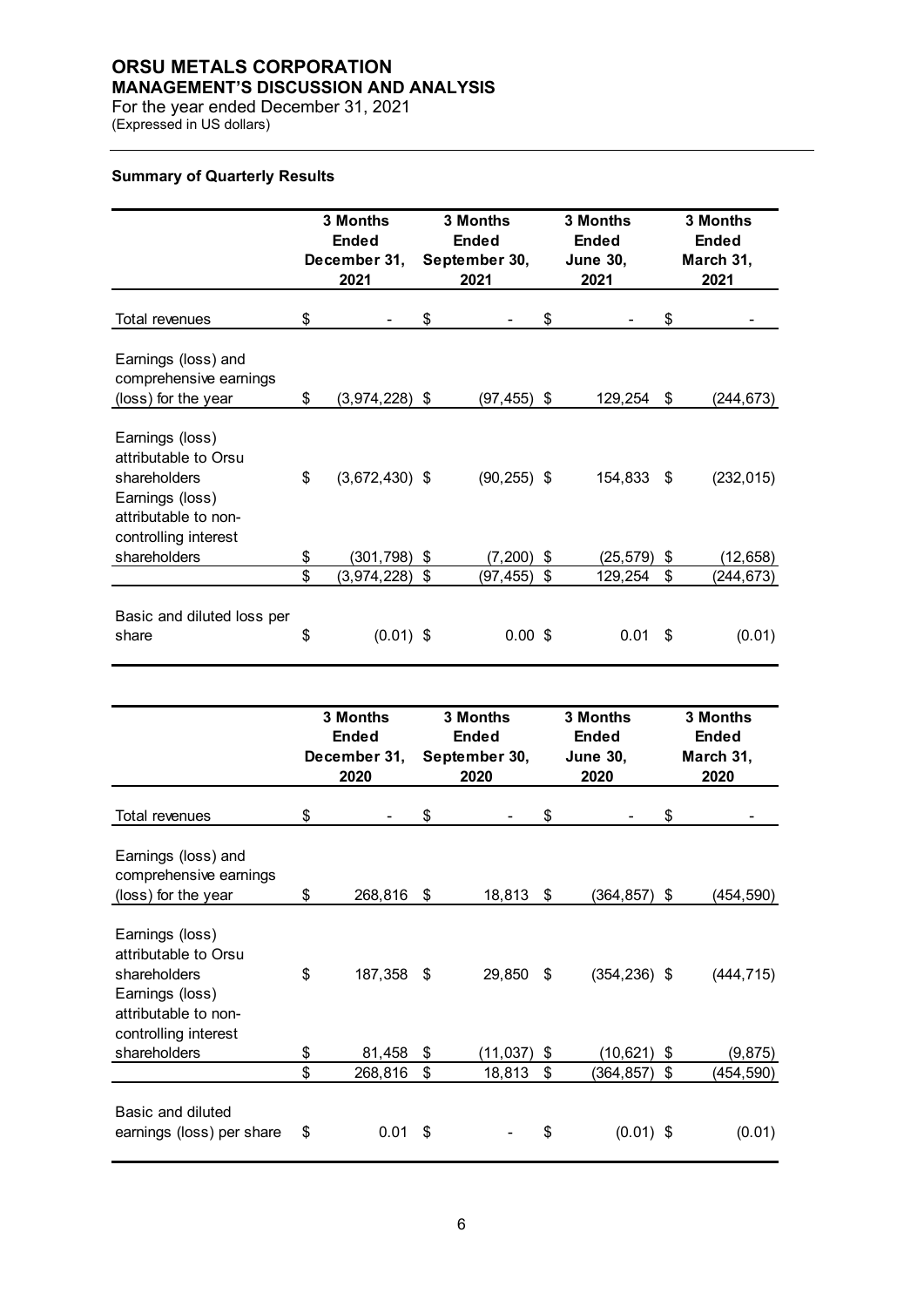# **ORSU METALS CORPORATION**

**MANAGEMENT'S DISCUSSION AND ANALYSIS**

For the year ended December 31, 2021 (Expressed in US dollars)

## **Summary of Quarterly Results**

|                                                                                                                            | 3 Months<br><b>Ended</b><br>December 31,<br>2021 | 3 Months<br><b>Ended</b><br>September 30,<br>2021 | 3 Months<br><b>Ended</b><br><b>June 30,</b><br>2021 |    | 3 Months<br><b>Ended</b><br>March 31,<br>2021 |
|----------------------------------------------------------------------------------------------------------------------------|--------------------------------------------------|---------------------------------------------------|-----------------------------------------------------|----|-----------------------------------------------|
| Total revenues                                                                                                             | \$                                               | \$                                                | \$                                                  | \$ |                                               |
| Earnings (loss) and<br>comprehensive earnings<br>(loss) for the year                                                       | \$<br>(3,974,228) \$                             | (97,455)                                          | \$<br>129,254                                       | \$ | (244,673)                                     |
| Earnings (loss)<br>attributable to Orsu<br>shareholders<br>Earnings (loss)<br>attributable to non-<br>controlling interest | \$<br>$(3,672,430)$ \$                           | $(90, 255)$ \$                                    | 154,833 \$                                          |    | (232, 015)                                    |
| shareholders                                                                                                               | \$<br>(301,798)                                  | \$<br>(7, 200)                                    | \$<br>(25,579)                                      | \$ | (12, 658)                                     |
|                                                                                                                            | \$<br>(3,974,228)                                | \$<br>(97, 455)                                   | \$<br>129,254                                       | \$ | (244,673)                                     |
| Basic and diluted loss per<br>share                                                                                        | \$<br>$(0.01)$ \$                                | $0.00$ \$                                         | 0.01                                                | S  | (0.01)                                        |

|                                                                                                                            | 3 Months<br><b>Ended</b><br>December 31,<br>2020 |    | <b>3 Months</b><br><b>Ended</b><br>September 30,<br>2020 | 3 Months<br><b>Ended</b><br><b>June 30,</b><br>2020 | 3 Months<br><b>Ended</b><br>March 31,<br>2020 |
|----------------------------------------------------------------------------------------------------------------------------|--------------------------------------------------|----|----------------------------------------------------------|-----------------------------------------------------|-----------------------------------------------|
| Total revenues                                                                                                             | \$                                               | \$ |                                                          | \$                                                  | \$                                            |
| Earnings (loss) and<br>comprehensive earnings<br>(loss) for the year                                                       | \$<br>268,816                                    | \$ | 18,813                                                   | \$<br>(364,857)                                     | \$<br>(454,590)                               |
| Earnings (loss)<br>attributable to Orsu<br>shareholders<br>Earnings (loss)<br>attributable to non-<br>controlling interest | \$<br>187,358                                    | S  | 29,850                                                   | \$<br>$(354, 236)$ \$                               | (444, 715)                                    |
| shareholders                                                                                                               | \$<br>81,458                                     | \$ | (11, 037)                                                | \$<br>(10, 621)                                     | \$<br>(9, 875)                                |
|                                                                                                                            | \$<br>268,816                                    | \$ | 18,813                                                   | \$<br>(364, 857)                                    | \$<br>(454,590)                               |
| Basic and diluted<br>earnings (loss) per share                                                                             | \$<br>0.01                                       | \$ |                                                          | \$<br>$(0.01)$ \$                                   | (0.01)                                        |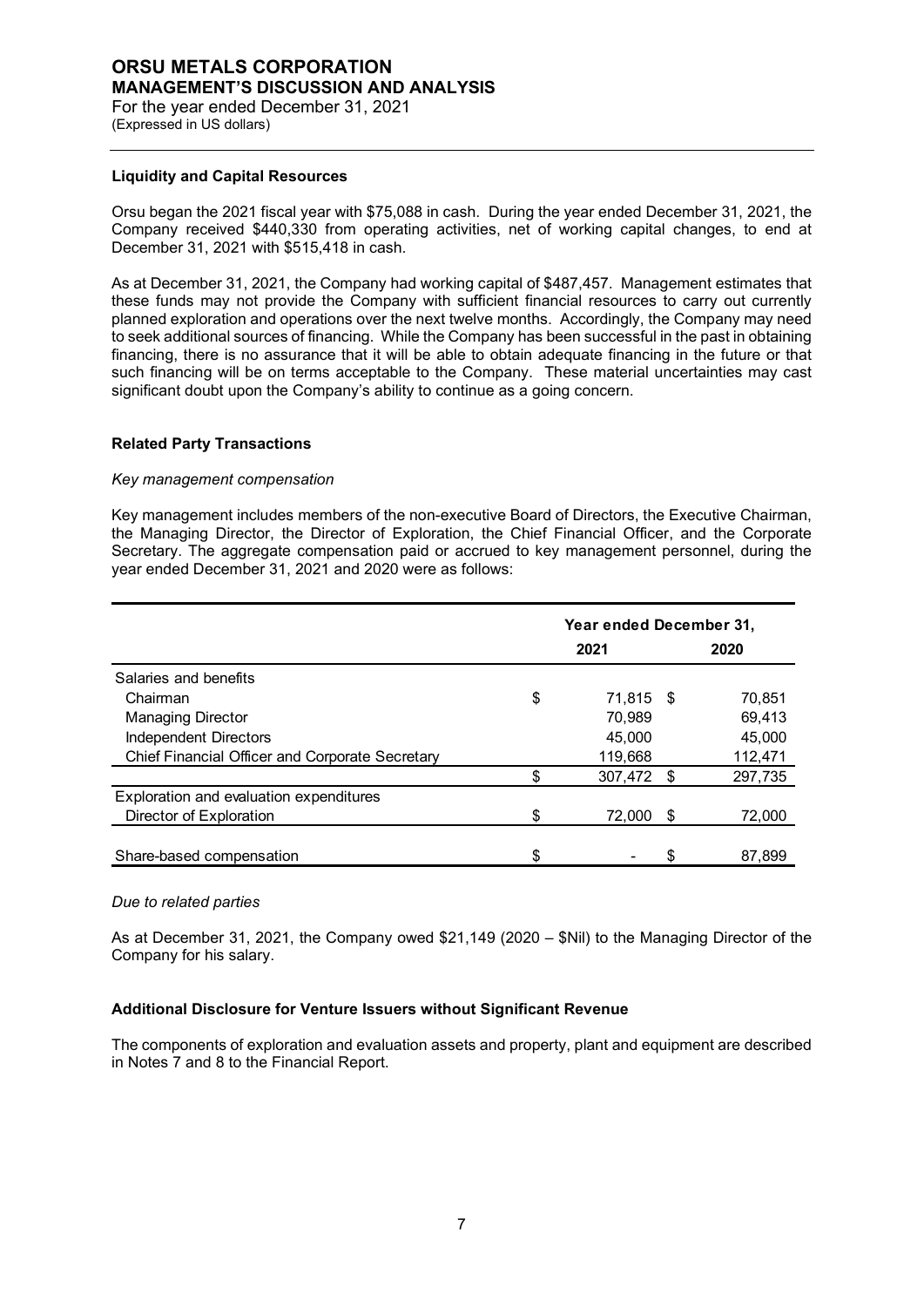#### **Liquidity and Capital Resources**

Orsu began the 2021 fiscal year with \$75,088 in cash. During the year ended December 31, 2021, the Company received \$440,330 from operating activities, net of working capital changes, to end at December 31, 2021 with \$515,418 in cash.

As at December 31, 2021, the Company had working capital of \$487,457. Management estimates that these funds may not provide the Company with sufficient financial resources to carry out currently planned exploration and operations over the next twelve months. Accordingly, the Company may need to seek additional sources of financing. While the Company has been successful in the past in obtaining financing, there is no assurance that it will be able to obtain adequate financing in the future or that such financing will be on terms acceptable to the Company. These material uncertainties may cast significant doubt upon the Company's ability to continue as a going concern.

## **Related Party Transactions**

#### *Key management compensation*

Key management includes members of the non-executive Board of Directors, the Executive Chairman, the Managing Director, the Director of Exploration, the Chief Financial Officer, and the Corporate Secretary. The aggregate compensation paid or accrued to key management personnel, during the year ended December 31, 2021 and 2020 were as follows:

|                                                        | Year ended December 31, |            |     |         |  |
|--------------------------------------------------------|-------------------------|------------|-----|---------|--|
|                                                        |                         | 2021       |     | 2020    |  |
| Salaries and benefits                                  |                         |            |     |         |  |
| Chairman                                               | \$                      | 71.815 \$  |     | 70,851  |  |
| <b>Managing Director</b>                               |                         | 70,989     |     | 69,413  |  |
| <b>Independent Directors</b>                           |                         | 45,000     |     | 45.000  |  |
| <b>Chief Financial Officer and Corporate Secretary</b> |                         | 119,668    |     | 112,471 |  |
|                                                        | \$                      | 307,472 \$ |     | 297,735 |  |
| Exploration and evaluation expenditures                |                         |            |     |         |  |
| Director of Exploration                                | \$                      | 72.000     | \$. | 72,000  |  |
|                                                        |                         |            |     |         |  |
| Share-based compensation                               | \$                      |            |     | 87,899  |  |

#### *Due to related parties*

As at December 31, 2021, the Company owed \$21,149 (2020 – \$Nil) to the Managing Director of the Company for his salary.

## **Additional Disclosure for Venture Issuers without Significant Revenue**

The components of exploration and evaluation assets and property, plant and equipment are described in Notes 7 and 8 to the Financial Report.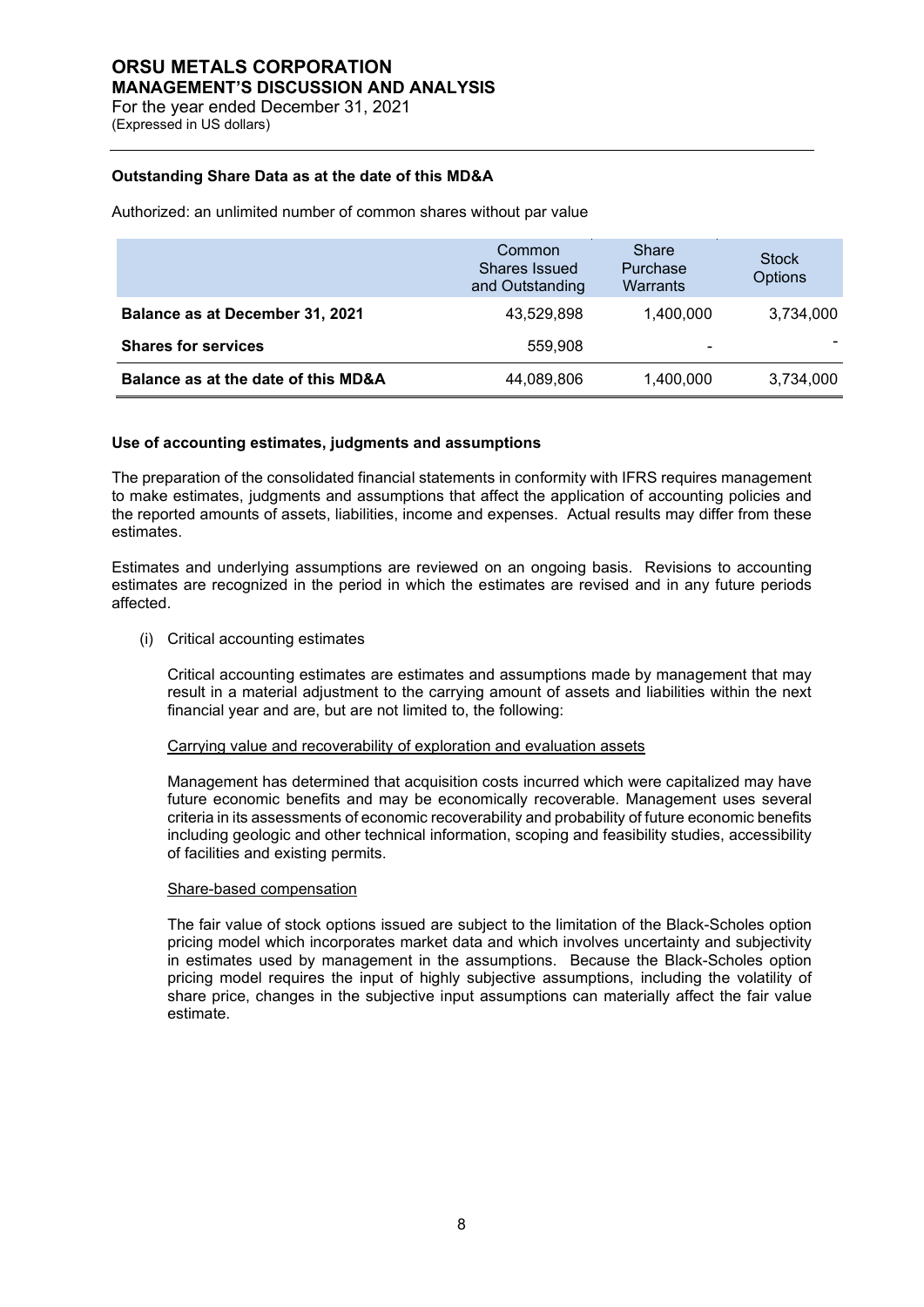## **Outstanding Share Data as at the date of this MD&A**

Authorized: an unlimited number of common shares without par value

|                                     | Common<br>Shares Issued<br>and Outstanding | Share<br>Purchase<br>Warrants | <b>Stock</b><br><b>Options</b> |
|-------------------------------------|--------------------------------------------|-------------------------------|--------------------------------|
| Balance as at December 31, 2021     | 43.529.898                                 | 1.400.000                     | 3,734,000                      |
| <b>Shares for services</b>          | 559,908                                    |                               |                                |
| Balance as at the date of this MD&A | 44,089,806                                 | 1,400,000                     | 3,734,000                      |

#### **Use of accounting estimates, judgments and assumptions**

The preparation of the consolidated financial statements in conformity with IFRS requires management to make estimates, judgments and assumptions that affect the application of accounting policies and the reported amounts of assets, liabilities, income and expenses. Actual results may differ from these estimates.

Estimates and underlying assumptions are reviewed on an ongoing basis. Revisions to accounting estimates are recognized in the period in which the estimates are revised and in any future periods affected.

(i) Critical accounting estimates

Critical accounting estimates are estimates and assumptions made by management that may result in a material adjustment to the carrying amount of assets and liabilities within the next financial year and are, but are not limited to, the following:

#### Carrying value and recoverability of exploration and evaluation assets

Management has determined that acquisition costs incurred which were capitalized may have future economic benefits and may be economically recoverable. Management uses several criteria in its assessments of economic recoverability and probability of future economic benefits including geologic and other technical information, scoping and feasibility studies, accessibility of facilities and existing permits.

#### Share-based compensation

The fair value of stock options issued are subject to the limitation of the Black-Scholes option pricing model which incorporates market data and which involves uncertainty and subjectivity in estimates used by management in the assumptions. Because the Black-Scholes option pricing model requires the input of highly subjective assumptions, including the volatility of share price, changes in the subjective input assumptions can materially affect the fair value estimate.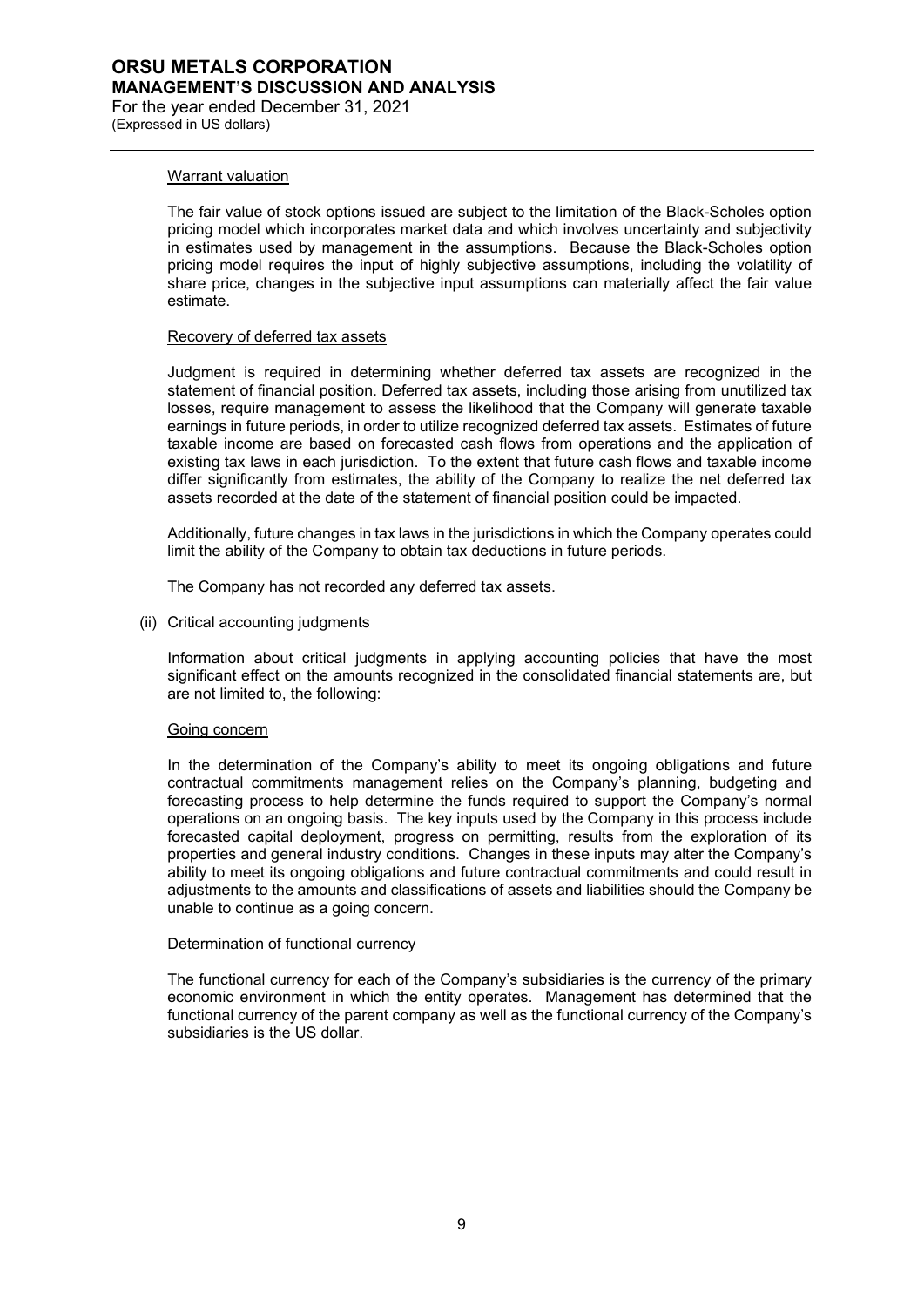#### Warrant valuation

The fair value of stock options issued are subject to the limitation of the Black-Scholes option pricing model which incorporates market data and which involves uncertainty and subjectivity in estimates used by management in the assumptions. Because the Black-Scholes option pricing model requires the input of highly subjective assumptions, including the volatility of share price, changes in the subjective input assumptions can materially affect the fair value estimate.

#### Recovery of deferred tax assets

Judgment is required in determining whether deferred tax assets are recognized in the statement of financial position. Deferred tax assets, including those arising from unutilized tax losses, require management to assess the likelihood that the Company will generate taxable earnings in future periods, in order to utilize recognized deferred tax assets. Estimates of future taxable income are based on forecasted cash flows from operations and the application of existing tax laws in each jurisdiction. To the extent that future cash flows and taxable income differ significantly from estimates, the ability of the Company to realize the net deferred tax assets recorded at the date of the statement of financial position could be impacted.

Additionally, future changes in tax laws in the jurisdictions in which the Company operates could limit the ability of the Company to obtain tax deductions in future periods.

The Company has not recorded any deferred tax assets.

(ii) Critical accounting judgments

Information about critical judgments in applying accounting policies that have the most significant effect on the amounts recognized in the consolidated financial statements are, but are not limited to, the following:

#### Going concern

In the determination of the Company's ability to meet its ongoing obligations and future contractual commitments management relies on the Company's planning, budgeting and forecasting process to help determine the funds required to support the Company's normal operations on an ongoing basis. The key inputs used by the Company in this process include forecasted capital deployment, progress on permitting, results from the exploration of its properties and general industry conditions. Changes in these inputs may alter the Company's ability to meet its ongoing obligations and future contractual commitments and could result in adjustments to the amounts and classifications of assets and liabilities should the Company be unable to continue as a going concern.

#### Determination of functional currency

The functional currency for each of the Company's subsidiaries is the currency of the primary economic environment in which the entity operates. Management has determined that the functional currency of the parent company as well as the functional currency of the Company's subsidiaries is the US dollar.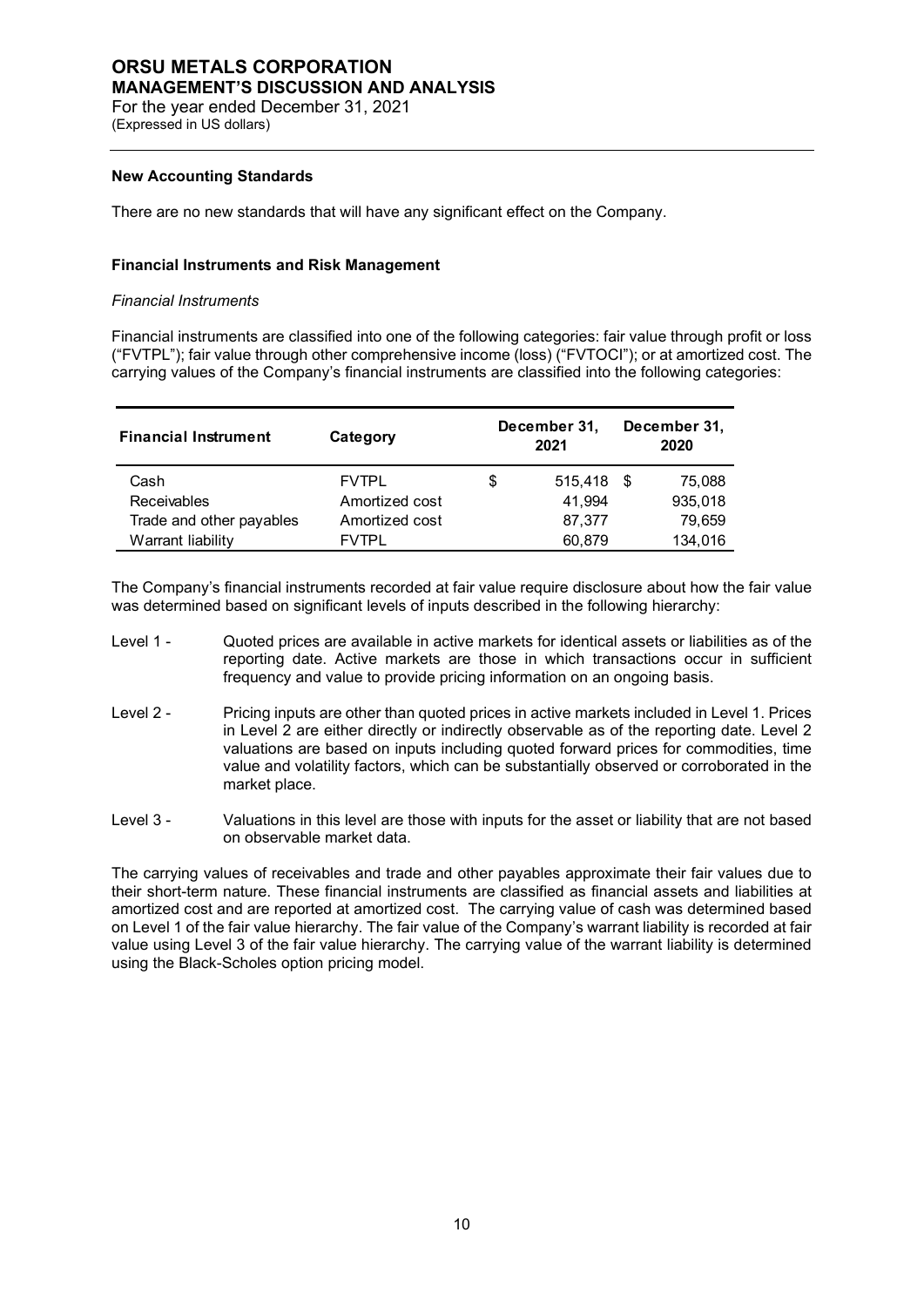## **ORSU METALS CORPORATION MANAGEMENT'S DISCUSSION AND ANALYSIS** For the year ended December 31, 2021

(Expressed in US dollars)

## **New Accounting Standards**

There are no new standards that will have any significant effect on the Company.

## **Financial Instruments and Risk Management**

## *Financial Instruments*

Financial instruments are classified into one of the following categories: fair value through profit or loss ("FVTPL"); fair value through other comprehensive income (loss) ("FVTOCI"); or at amortized cost. The carrying values of the Company's financial instruments are classified into the following categories:

| <b>Financial Instrument</b> | Category       |   | December 31,<br>2021 |      | December 31,<br>2020 |
|-----------------------------|----------------|---|----------------------|------|----------------------|
| Cash                        | <b>FVTPL</b>   | S | 515.418              | - \$ | 75.088               |
| <b>Receivables</b>          | Amortized cost |   | 41.994               |      | 935,018              |
| Trade and other payables    | Amortized cost |   | 87.377               |      | 79,659               |
| Warrant liability           | <b>FVTPI</b>   |   | 60.879               |      | 134,016              |

The Company's financial instruments recorded at fair value require disclosure about how the fair value was determined based on significant levels of inputs described in the following hierarchy:

- Level 1 Quoted prices are available in active markets for identical assets or liabilities as of the reporting date. Active markets are those in which transactions occur in sufficient frequency and value to provide pricing information on an ongoing basis.
- Level 2 Pricing inputs are other than quoted prices in active markets included in Level 1. Prices in Level 2 are either directly or indirectly observable as of the reporting date. Level 2 valuations are based on inputs including quoted forward prices for commodities, time value and volatility factors, which can be substantially observed or corroborated in the market place.
- Level 3 Valuations in this level are those with inputs for the asset or liability that are not based on observable market data.

The carrying values of receivables and trade and other payables approximate their fair values due to their short-term nature. These financial instruments are classified as financial assets and liabilities at amortized cost and are reported at amortized cost. The carrying value of cash was determined based on Level 1 of the fair value hierarchy. The fair value of the Company's warrant liability is recorded at fair value using Level 3 of the fair value hierarchy. The carrying value of the warrant liability is determined using the Black-Scholes option pricing model.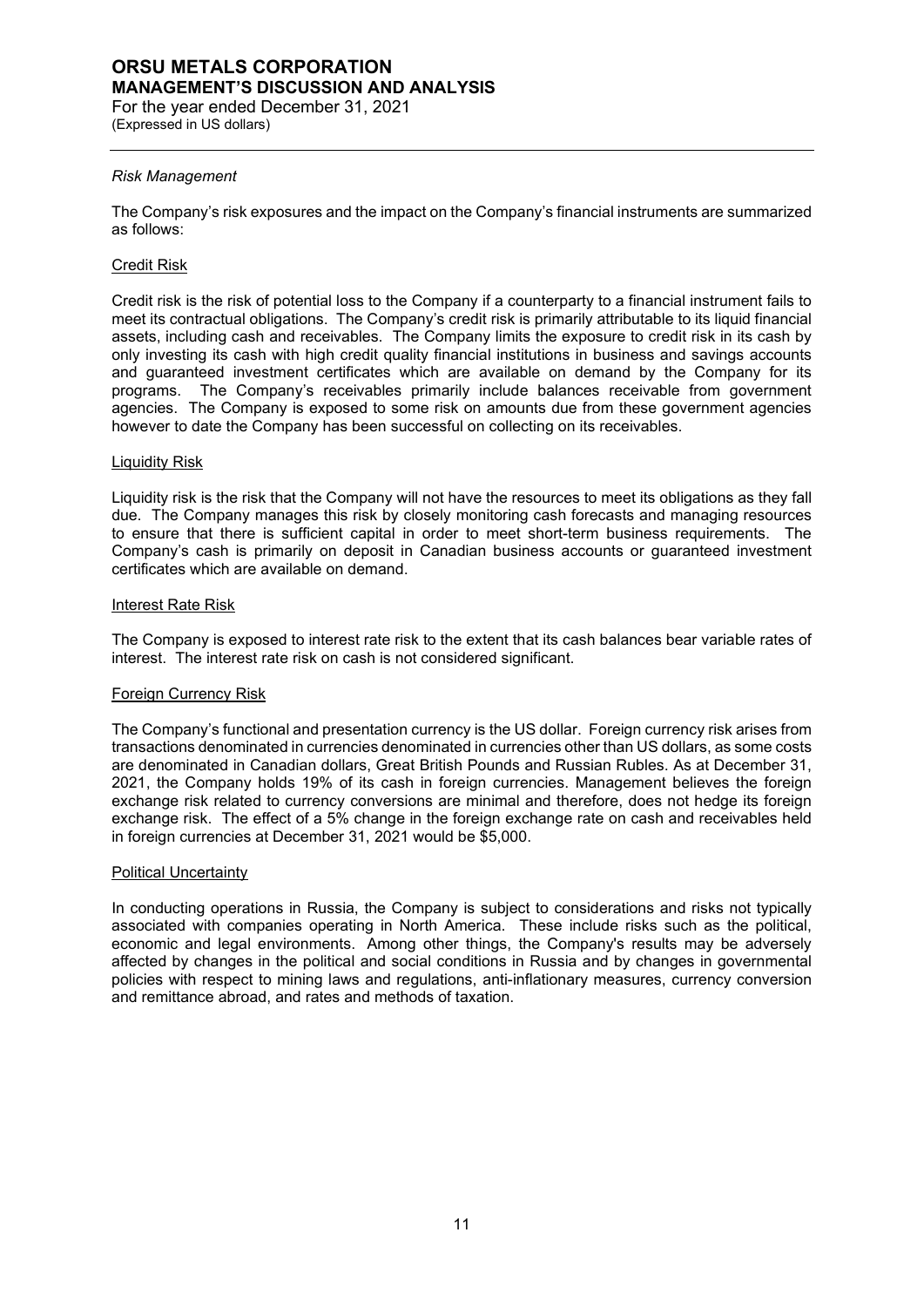# **ORSU METALS CORPORATION MANAGEMENT'S DISCUSSION AND ANALYSIS**

For the year ended December 31, 2021 (Expressed in US dollars)

## *Risk Management*

The Company's risk exposures and the impact on the Company's financial instruments are summarized as follows:

## Credit Risk

Credit risk is the risk of potential loss to the Company if a counterparty to a financial instrument fails to meet its contractual obligations. The Company's credit risk is primarily attributable to its liquid financial assets, including cash and receivables. The Company limits the exposure to credit risk in its cash by only investing its cash with high credit quality financial institutions in business and savings accounts and guaranteed investment certificates which are available on demand by the Company for its programs. The Company's receivables primarily include balances receivable from government agencies. The Company is exposed to some risk on amounts due from these government agencies however to date the Company has been successful on collecting on its receivables.

## Liquidity Risk

Liquidity risk is the risk that the Company will not have the resources to meet its obligations as they fall due. The Company manages this risk by closely monitoring cash forecasts and managing resources to ensure that there is sufficient capital in order to meet short-term business requirements. The Company's cash is primarily on deposit in Canadian business accounts or guaranteed investment certificates which are available on demand.

## Interest Rate Risk

The Company is exposed to interest rate risk to the extent that its cash balances bear variable rates of interest. The interest rate risk on cash is not considered significant.

## Foreign Currency Risk

The Company's functional and presentation currency is the US dollar. Foreign currency risk arises from transactions denominated in currencies denominated in currencies other than US dollars, as some costs are denominated in Canadian dollars, Great British Pounds and Russian Rubles. As at December 31, 2021, the Company holds 19% of its cash in foreign currencies. Management believes the foreign exchange risk related to currency conversions are minimal and therefore, does not hedge its foreign exchange risk. The effect of a 5% change in the foreign exchange rate on cash and receivables held in foreign currencies at December 31, 2021 would be \$5,000.

## Political Uncertainty

In conducting operations in Russia, the Company is subject to considerations and risks not typically associated with companies operating in North America. These include risks such as the political, economic and legal environments. Among other things, the Company's results may be adversely affected by changes in the political and social conditions in Russia and by changes in governmental policies with respect to mining laws and regulations, anti-inflationary measures, currency conversion and remittance abroad, and rates and methods of taxation.